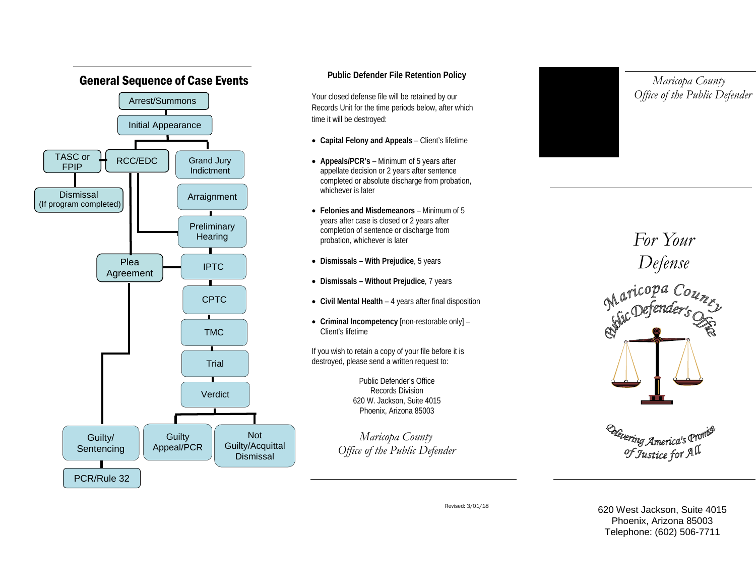

# **Public Defender File Retention Policy**

Your closed defense file will be retained by our Records Unit for the time periods below, after which time it will be destroyed:

- **Capital Felony and Appeals** Client's lifetime
- **Appeals/PCR's** Minimum of 5 years after appellate decision or 2 years after sentence completed or absolute discharge from probation, whichever is later
- **Felonies and Misdemeanors** Minimum of 5 years after case is closed or 2 years after completion of sentence or discharge from probation, whichever is later
- **Dismissals – With Prejudice**, 5 years
- **Dismissals – Without Prejudice**, 7 years
- **Civil Mental Health** 4 years after final disposition
- **Criminal Incompetency** [non-restorable only] Client's lifetime

If you wish to retain a copy of your file before it is destroyed, please send a written request to:

> Public Defender's Office Records Division 620 W. Jackson, Suite 4015 Phoenix, Arizona 85003

 *Maricopa County Office of the Public Defender*



 *Maricopa County Office of the Public Defender*

*For Your Defense* Maricopa Count

<sup>Urvering</sup> America's <sup>Pi</sup> of Justice for All

Revised: 3/01/18

620 West Jackson, Suite 4015 Phoenix, Arizona 85003 Telephone: (602) 506-7711